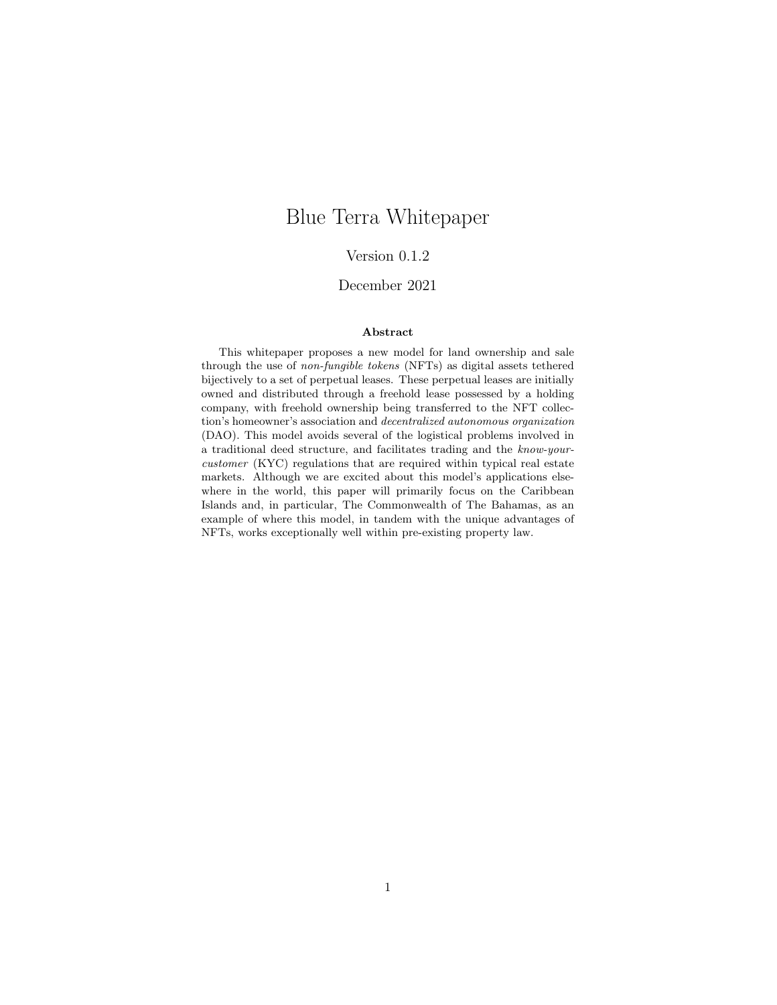# Blue Terra Whitepaper

#### Version 0.1.2

#### December 2021

#### Abstract

This whitepaper proposes a new model for land ownership and sale through the use of non-fungible tokens (NFTs) as digital assets tethered bijectively to a set of perpetual leases. These perpetual leases are initially owned and distributed through a freehold lease possessed by a holding company, with freehold ownership being transferred to the NFT collection's homeowner's association and decentralized autonomous organization (DAO). This model avoids several of the logistical problems involved in a traditional deed structure, and facilitates trading and the know-yourcustomer (KYC) regulations that are required within typical real estate markets. Although we are excited about this model's applications elsewhere in the world, this paper will primarily focus on the Caribbean Islands and, in particular, The Commonwealth of The Bahamas, as an example of where this model, in tandem with the unique advantages of NFTs, works exceptionally well within pre-existing property law.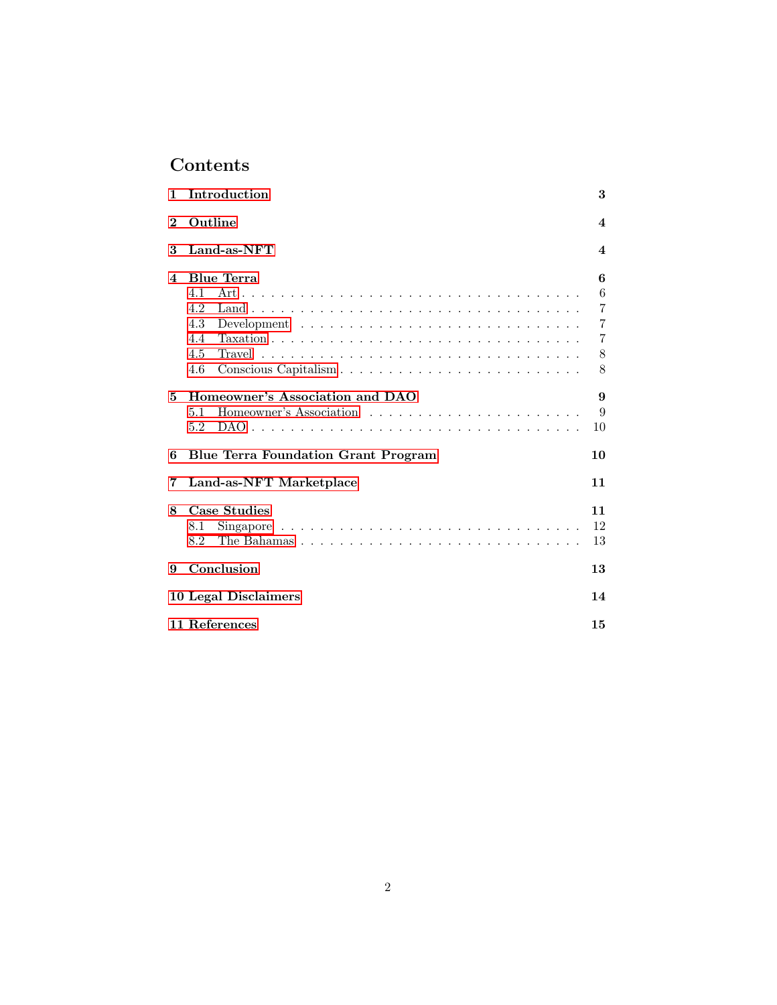# Contents

| 1                       | Introduction                                                                                                                   | 3                     |
|-------------------------|--------------------------------------------------------------------------------------------------------------------------------|-----------------------|
| $\bf{2}$                | Outline                                                                                                                        | $\boldsymbol{4}$      |
| 3                       | Land-as-NFT                                                                                                                    | $\boldsymbol{4}$      |
| $\overline{\mathbf{4}}$ | <b>Blue Terra</b>                                                                                                              | 6                     |
|                         | 41                                                                                                                             | 6                     |
|                         | 4.2                                                                                                                            | $\overline{7}$        |
|                         | 4.3                                                                                                                            | $\overline{7}$        |
|                         | 4.4                                                                                                                            | 7                     |
|                         | Travel $\ldots \ldots \ldots \ldots \ldots \ldots \ldots \ldots \ldots \ldots \ldots \ldots$<br>4.5                            | 8                     |
|                         | Conscious Capitalism<br>4.6                                                                                                    | 8                     |
| 5                       | Homeowner's Association and DAO                                                                                                | $\boldsymbol{\Omega}$ |
|                         | 5.1                                                                                                                            | 9                     |
|                         | 5.2                                                                                                                            | 10                    |
| 6                       | <b>Blue Terra Foundation Grant Program</b>                                                                                     | 10                    |
| 7                       | Land-as-NFT Marketplace                                                                                                        | 11                    |
| 8                       | Case Studies                                                                                                                   | 11                    |
|                         | 8.1                                                                                                                            | 12                    |
|                         | The Bahamas $\ldots$ , $\ldots$ , $\ldots$ , $\ldots$ , $\ldots$ , $\ldots$ , $\ldots$ , $\ldots$ , $\ldots$ , $\ldots$<br>8.2 | 13                    |
| 9                       | Conclusion                                                                                                                     | 13                    |
|                         | 10 Legal Disclaimers                                                                                                           | 14                    |
|                         | 11 References                                                                                                                  | 15                    |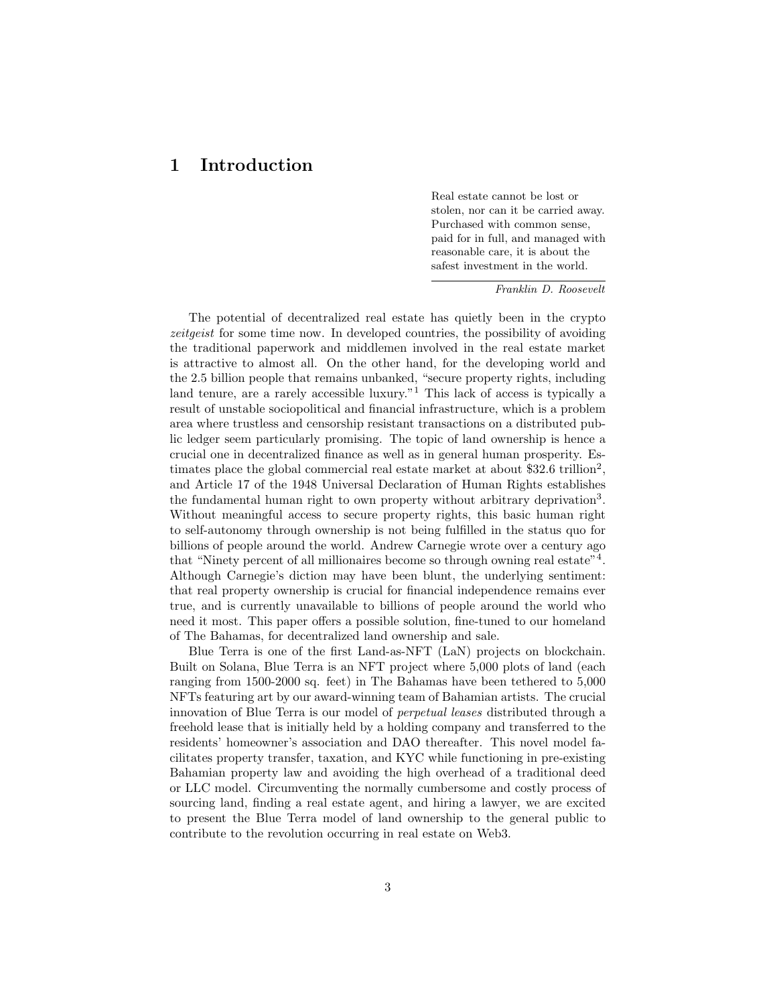# <span id="page-2-0"></span>1 Introduction

Real estate cannot be lost or stolen, nor can it be carried away. Purchased with common sense, paid for in full, and managed with reasonable care, it is about the safest investment in the world.

Franklin D. Roosevelt

The potential of decentralized real estate has quietly been in the crypto zeitgeist for some time now. In developed countries, the possibility of avoiding the traditional paperwork and middlemen involved in the real estate market is attractive to almost all. On the other hand, for the developing world and the 2.5 billion people that remains unbanked, "secure property rights, including land tenure, are a rarely accessible luxury.<sup>"1</sup> This lack of access is typically a result of unstable sociopolitical and financial infrastructure, which is a problem area where trustless and censorship resistant transactions on a distributed public ledger seem particularly promising. The topic of land ownership is hence a crucial one in decentralized finance as well as in general human prosperity. Estimates place the global commercial real estate market at about \$32.6 trillion<sup>2</sup>, and Article 17 of the 1948 Universal Declaration of Human Rights establishes the fundamental human right to own property without arbitrary deprivation<sup>3</sup>. Without meaningful access to secure property rights, this basic human right to self-autonomy through ownership is not being fulfilled in the status quo for billions of people around the world. Andrew Carnegie wrote over a century ago that "Ninety percent of all millionaires become so through owning real estate"<sup>4</sup>. Although Carnegie's diction may have been blunt, the underlying sentiment: that real property ownership is crucial for financial independence remains ever true, and is currently unavailable to billions of people around the world who need it most. This paper offers a possible solution, fine-tuned to our homeland of The Bahamas, for decentralized land ownership and sale.

Blue Terra is one of the first Land-as-NFT (LaN) projects on blockchain. Built on Solana, Blue Terra is an NFT project where 5,000 plots of land (each ranging from 1500-2000 sq. feet) in The Bahamas have been tethered to 5,000 NFTs featuring art by our award-winning team of Bahamian artists. The crucial innovation of Blue Terra is our model of perpetual leases distributed through a freehold lease that is initially held by a holding company and transferred to the residents' homeowner's association and DAO thereafter. This novel model facilitates property transfer, taxation, and KYC while functioning in pre-existing Bahamian property law and avoiding the high overhead of a traditional deed or LLC model. Circumventing the normally cumbersome and costly process of sourcing land, finding a real estate agent, and hiring a lawyer, we are excited to present the Blue Terra model of land ownership to the general public to contribute to the revolution occurring in real estate on Web3.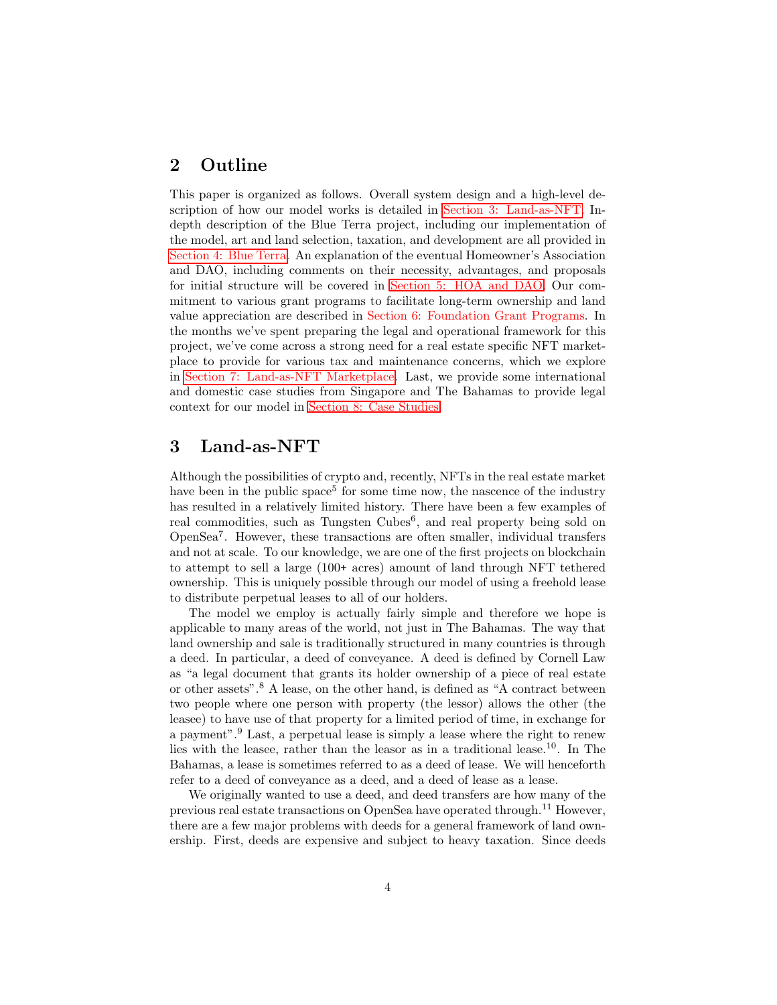### <span id="page-3-0"></span>2 Outline

This paper is organized as follows. Overall system design and a high-level description of how our model works is detailed in [Section 3: Land-as-NFT.](#page-3-1) Indepth description of the Blue Terra project, including our implementation of the model, art and land selection, taxation, and development are all provided in [Section 4: Blue Terra.](#page-5-0) An explanation of the eventual Homeowner's Association and DAO, including comments on their necessity, advantages, and proposals for initial structure will be covered in [Section 5: HOA and DAO.](#page-8-0) Our commitment to various grant programs to facilitate long-term ownership and land value appreciation are described in Section 6: Foundation Grant Programs. In the months we've spent preparing the legal and operational framework for this project, we've come across a strong need for a real estate specific NFT marketplace to provide for various tax and maintenance concerns, which we explore in [Section 7: Land-as-NFT Marketplace.](#page-10-0) Last, we provide some international and domestic case studies from Singapore and The Bahamas to provide legal context for our model in [Section 8: Case Studies.](#page-10-1)

# <span id="page-3-1"></span>3 Land-as-NFT

Although the possibilities of crypto and, recently, NFTs in the real estate market have been in the public space<sup>5</sup> for some time now, the nascence of the industry has resulted in a relatively limited history. There have been a few examples of real commodities, such as Tungsten Cubes<sup>6</sup>, and real property being sold on OpenSea<sup>7</sup> . However, these transactions are often smaller, individual transfers and not at scale. To our knowledge, we are one of the first projects on blockchain to attempt to sell a large (100+ acres) amount of land through NFT tethered ownership. This is uniquely possible through our model of using a freehold lease to distribute perpetual leases to all of our holders.

The model we employ is actually fairly simple and therefore we hope is applicable to many areas of the world, not just in The Bahamas. The way that land ownership and sale is traditionally structured in many countries is through a deed. In particular, a deed of conveyance. A deed is defined by Cornell Law as "a legal document that grants its holder ownership of a piece of real estate or other assets".<sup>8</sup> A lease, on the other hand, is defined as "A contract between two people where one person with property (the lessor) allows the other (the leasee) to have use of that property for a limited period of time, in exchange for a payment".<sup>9</sup> Last, a perpetual lease is simply a lease where the right to renew lies with the leasee, rather than the leasor as in a traditional lease.<sup>10</sup>. In The Bahamas, a lease is sometimes referred to as a deed of lease. We will henceforth refer to a deed of conveyance as a deed, and a deed of lease as a lease.

We originally wanted to use a deed, and deed transfers are how many of the previous real estate transactions on OpenSea have operated through.<sup>11</sup> However, there are a few major problems with deeds for a general framework of land ownership. First, deeds are expensive and subject to heavy taxation. Since deeds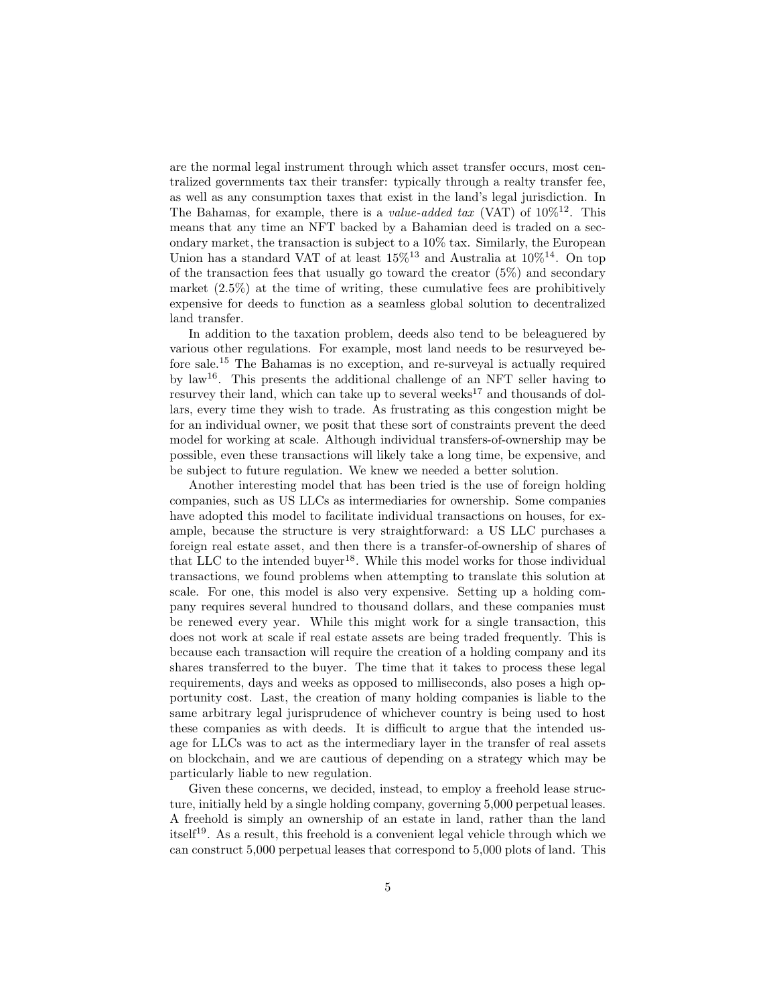are the normal legal instrument through which asset transfer occurs, most centralized governments tax their transfer: typically through a realty transfer fee, as well as any consumption taxes that exist in the land's legal jurisdiction. In The Bahamas, for example, there is a *value-added tax* (VAT) of  $10\%^{12}$ . This means that any time an NFT backed by a Bahamian deed is traded on a secondary market, the transaction is subject to a 10% tax. Similarly, the European Union has a standard VAT of at least  $15\%^{13}$  and Australia at  $10\%^{14}$ . On top of the transaction fees that usually go toward the creator (5%) and secondary market (2.5%) at the time of writing, these cumulative fees are prohibitively expensive for deeds to function as a seamless global solution to decentralized land transfer.

In addition to the taxation problem, deeds also tend to be beleaguered by various other regulations. For example, most land needs to be resurveyed before sale.<sup>15</sup> The Bahamas is no exception, and re-surveyal is actually required by law<sup>16</sup>. This presents the additional challenge of an NFT seller having to resurvey their land, which can take up to several weeks<sup>17</sup> and thousands of dollars, every time they wish to trade. As frustrating as this congestion might be for an individual owner, we posit that these sort of constraints prevent the deed model for working at scale. Although individual transfers-of-ownership may be possible, even these transactions will likely take a long time, be expensive, and be subject to future regulation. We knew we needed a better solution.

Another interesting model that has been tried is the use of foreign holding companies, such as US LLCs as intermediaries for ownership. Some companies have adopted this model to facilitate individual transactions on houses, for example, because the structure is very straightforward: a US LLC purchases a foreign real estate asset, and then there is a transfer-of-ownership of shares of that LLC to the intended buyer<sup>18</sup>. While this model works for those individual transactions, we found problems when attempting to translate this solution at scale. For one, this model is also very expensive. Setting up a holding company requires several hundred to thousand dollars, and these companies must be renewed every year. While this might work for a single transaction, this does not work at scale if real estate assets are being traded frequently. This is because each transaction will require the creation of a holding company and its shares transferred to the buyer. The time that it takes to process these legal requirements, days and weeks as opposed to milliseconds, also poses a high opportunity cost. Last, the creation of many holding companies is liable to the same arbitrary legal jurisprudence of whichever country is being used to host these companies as with deeds. It is difficult to argue that the intended usage for LLCs was to act as the intermediary layer in the transfer of real assets on blockchain, and we are cautious of depending on a strategy which may be particularly liable to new regulation.

Given these concerns, we decided, instead, to employ a freehold lease structure, initially held by a single holding company, governing 5,000 perpetual leases. A freehold is simply an ownership of an estate in land, rather than the land itself<sup>19</sup>. As a result, this freehold is a convenient legal vehicle through which we can construct 5,000 perpetual leases that correspond to 5,000 plots of land. This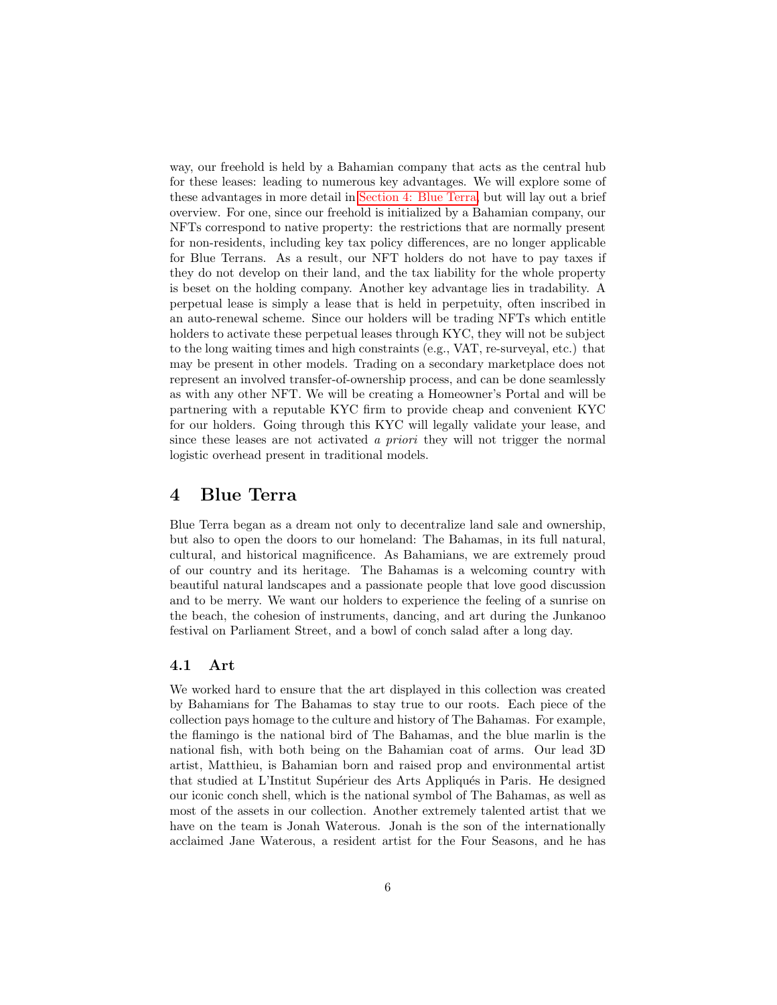way, our freehold is held by a Bahamian company that acts as the central hub for these leases: leading to numerous key advantages. We will explore some of these advantages in more detail in [Section 4: Blue Terra,](#page-5-0) but will lay out a brief overview. For one, since our freehold is initialized by a Bahamian company, our NFTs correspond to native property: the restrictions that are normally present for non-residents, including key tax policy differences, are no longer applicable for Blue Terrans. As a result, our NFT holders do not have to pay taxes if they do not develop on their land, and the tax liability for the whole property is beset on the holding company. Another key advantage lies in tradability. A perpetual lease is simply a lease that is held in perpetuity, often inscribed in an auto-renewal scheme. Since our holders will be trading NFTs which entitle holders to activate these perpetual leases through KYC, they will not be subject to the long waiting times and high constraints (e.g., VAT, re-surveyal, etc.) that may be present in other models. Trading on a secondary marketplace does not represent an involved transfer-of-ownership process, and can be done seamlessly as with any other NFT. We will be creating a Homeowner's Portal and will be partnering with a reputable KYC firm to provide cheap and convenient KYC for our holders. Going through this KYC will legally validate your lease, and since these leases are not activated a priori they will not trigger the normal logistic overhead present in traditional models.

## <span id="page-5-0"></span>4 Blue Terra

Blue Terra began as a dream not only to decentralize land sale and ownership, but also to open the doors to our homeland: The Bahamas, in its full natural, cultural, and historical magnificence. As Bahamians, we are extremely proud of our country and its heritage. The Bahamas is a welcoming country with beautiful natural landscapes and a passionate people that love good discussion and to be merry. We want our holders to experience the feeling of a sunrise on the beach, the cohesion of instruments, dancing, and art during the Junkanoo festival on Parliament Street, and a bowl of conch salad after a long day.

#### <span id="page-5-1"></span>4.1 Art

We worked hard to ensure that the art displayed in this collection was created by Bahamians for The Bahamas to stay true to our roots. Each piece of the collection pays homage to the culture and history of The Bahamas. For example, the flamingo is the national bird of The Bahamas, and the blue marlin is the national fish, with both being on the Bahamian coat of arms. Our lead 3D artist, Matthieu, is Bahamian born and raised prop and environmental artist that studied at L'Institut Supérieur des Arts Appliqués in Paris. He designed our iconic conch shell, which is the national symbol of The Bahamas, as well as most of the assets in our collection. Another extremely talented artist that we have on the team is Jonah Waterous. Jonah is the son of the internationally acclaimed Jane Waterous, a resident artist for the Four Seasons, and he has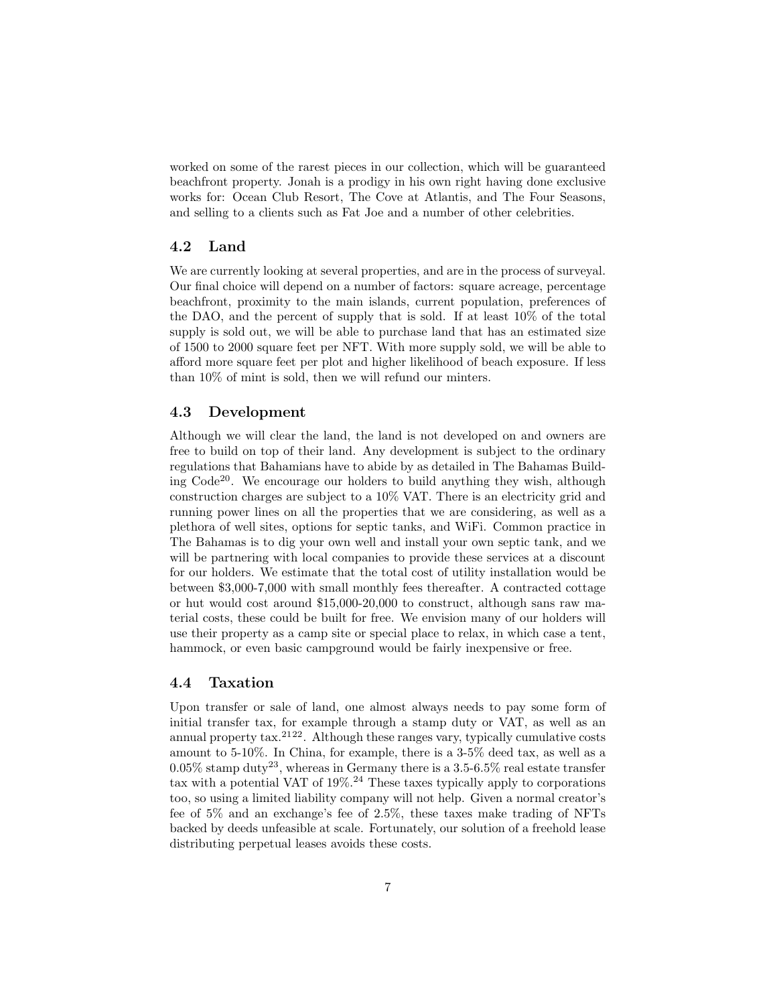worked on some of the rarest pieces in our collection, which will be guaranteed beachfront property. Jonah is a prodigy in his own right having done exclusive works for: Ocean Club Resort, The Cove at Atlantis, and The Four Seasons, and selling to a clients such as Fat Joe and a number of other celebrities.

#### <span id="page-6-0"></span>4.2 Land

We are currently looking at several properties, and are in the process of surveyal. Our final choice will depend on a number of factors: square acreage, percentage beachfront, proximity to the main islands, current population, preferences of the DAO, and the percent of supply that is sold. If at least 10% of the total supply is sold out, we will be able to purchase land that has an estimated size of 1500 to 2000 square feet per NFT. With more supply sold, we will be able to afford more square feet per plot and higher likelihood of beach exposure. If less than 10% of mint is sold, then we will refund our minters.

#### <span id="page-6-1"></span>4.3 Development

Although we will clear the land, the land is not developed on and owners are free to build on top of their land. Any development is subject to the ordinary regulations that Bahamians have to abide by as detailed in The Bahamas Building  $Code^{20}$ . We encourage our holders to build anything they wish, although construction charges are subject to a 10% VAT. There is an electricity grid and running power lines on all the properties that we are considering, as well as a plethora of well sites, options for septic tanks, and WiFi. Common practice in The Bahamas is to dig your own well and install your own septic tank, and we will be partnering with local companies to provide these services at a discount for our holders. We estimate that the total cost of utility installation would be between \$3,000-7,000 with small monthly fees thereafter. A contracted cottage or hut would cost around \$15,000-20,000 to construct, although sans raw material costs, these could be built for free. We envision many of our holders will use their property as a camp site or special place to relax, in which case a tent, hammock, or even basic campground would be fairly inexpensive or free.

#### <span id="page-6-2"></span>4.4 Taxation

Upon transfer or sale of land, one almost always needs to pay some form of initial transfer tax, for example through a stamp duty or VAT, as well as an annual property  $\text{tax.}^{2122}$ . Although these ranges vary, typically cumulative costs amount to 5-10%. In China, for example, there is a 3-5% deed tax, as well as a  $0.05\%$  stamp duty<sup>23</sup>, whereas in Germany there is a 3.5-6.5% real estate transfer tax with a potential VAT of  $19\%$ .<sup>24</sup> These taxes typically apply to corporations too, so using a limited liability company will not help. Given a normal creator's fee of 5% and an exchange's fee of 2.5%, these taxes make trading of NFTs backed by deeds unfeasible at scale. Fortunately, our solution of a freehold lease distributing perpetual leases avoids these costs.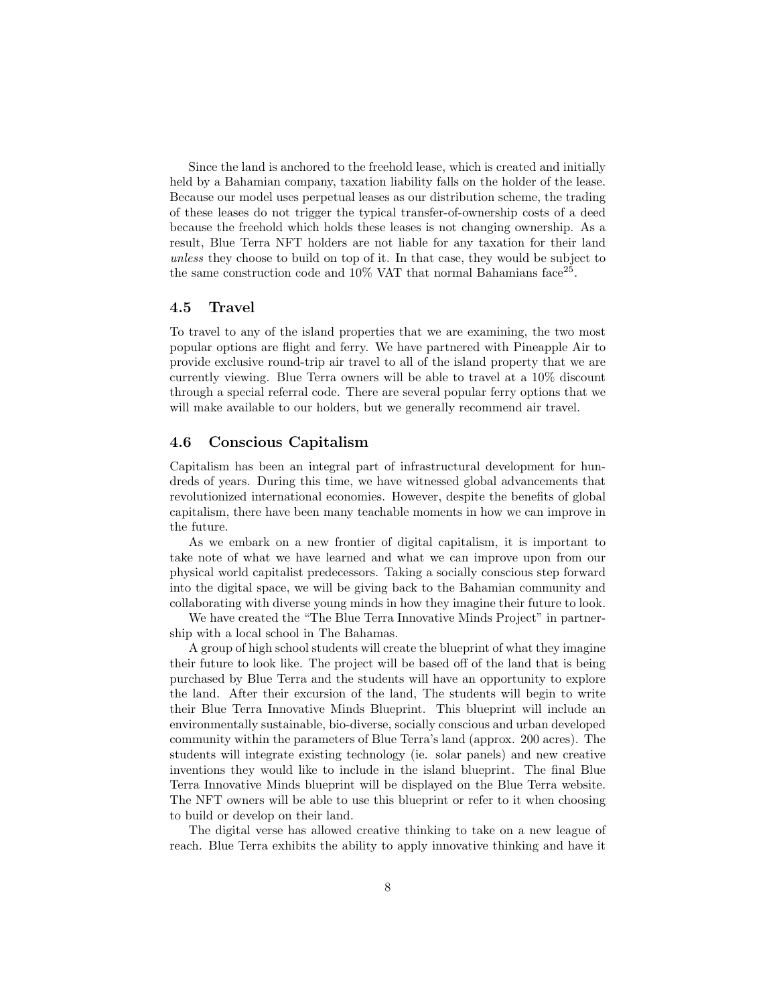Since the land is anchored to the freehold lease, which is created and initially held by a Bahamian company, taxation liability falls on the holder of the lease. Because our model uses perpetual leases as our distribution scheme, the trading of these leases do not trigger the typical transfer-of-ownership costs of a deed because the freehold which holds these leases is not changing ownership. As a result, Blue Terra NFT holders are not liable for any taxation for their land unless they choose to build on top of it. In that case, they would be subject to the same construction code and  $10\%$  VAT that normal Bahamians face<sup>25</sup>.

#### <span id="page-7-0"></span>4.5 Travel

To travel to any of the island properties that we are examining, the two most popular options are flight and ferry. We have partnered with Pineapple Air to provide exclusive round-trip air travel to all of the island property that we are currently viewing. Blue Terra owners will be able to travel at a 10% discount through a special referral code. There are several popular ferry options that we will make available to our holders, but we generally recommend air travel.

#### <span id="page-7-1"></span>4.6 Conscious Capitalism

Capitalism has been an integral part of infrastructural development for hundreds of years. During this time, we have witnessed global advancements that revolutionized international economies. However, despite the benefits of global capitalism, there have been many teachable moments in how we can improve in the future.

As we embark on a new frontier of digital capitalism, it is important to take note of what we have learned and what we can improve upon from our physical world capitalist predecessors. Taking a socially conscious step forward into the digital space, we will be giving back to the Bahamian community and collaborating with diverse young minds in how they imagine their future to look.

We have created the "The Blue Terra Innovative Minds Project" in partnership with a local school in The Bahamas.

A group of high school students will create the blueprint of what they imagine their future to look like. The project will be based off of the land that is being purchased by Blue Terra and the students will have an opportunity to explore the land. After their excursion of the land, The students will begin to write their Blue Terra Innovative Minds Blueprint. This blueprint will include an environmentally sustainable, bio-diverse, socially conscious and urban developed community within the parameters of Blue Terra's land (approx. 200 acres). The students will integrate existing technology (ie. solar panels) and new creative inventions they would like to include in the island blueprint. The final Blue Terra Innovative Minds blueprint will be displayed on the Blue Terra website. The NFT owners will be able to use this blueprint or refer to it when choosing to build or develop on their land.

The digital verse has allowed creative thinking to take on a new league of reach. Blue Terra exhibits the ability to apply innovative thinking and have it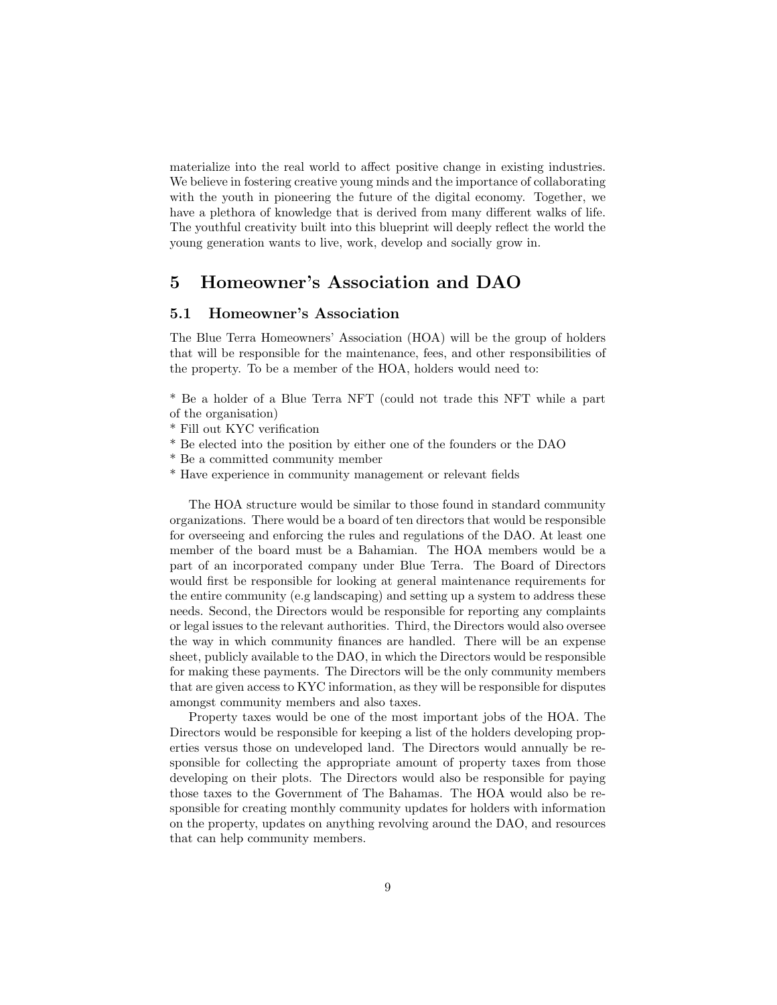materialize into the real world to affect positive change in existing industries. We believe in fostering creative young minds and the importance of collaborating with the youth in pioneering the future of the digital economy. Together, we have a plethora of knowledge that is derived from many different walks of life. The youthful creativity built into this blueprint will deeply reflect the world the young generation wants to live, work, develop and socially grow in.

### <span id="page-8-0"></span>5 Homeowner's Association and DAO

#### <span id="page-8-1"></span>5.1 Homeowner's Association

The Blue Terra Homeowners' Association (HOA) will be the group of holders that will be responsible for the maintenance, fees, and other responsibilities of the property. To be a member of the HOA, holders would need to:

\* Be a holder of a Blue Terra NFT (could not trade this NFT while a part of the organisation)

- \* Fill out KYC verification
- \* Be elected into the position by either one of the founders or the DAO
- \* Be a committed community member
- \* Have experience in community management or relevant fields

The HOA structure would be similar to those found in standard community organizations. There would be a board of ten directors that would be responsible for overseeing and enforcing the rules and regulations of the DAO. At least one member of the board must be a Bahamian. The HOA members would be a part of an incorporated company under Blue Terra. The Board of Directors would first be responsible for looking at general maintenance requirements for the entire community (e.g landscaping) and setting up a system to address these needs. Second, the Directors would be responsible for reporting any complaints or legal issues to the relevant authorities. Third, the Directors would also oversee the way in which community finances are handled. There will be an expense sheet, publicly available to the DAO, in which the Directors would be responsible for making these payments. The Directors will be the only community members that are given access to KYC information, as they will be responsible for disputes amongst community members and also taxes.

Property taxes would be one of the most important jobs of the HOA. The Directors would be responsible for keeping a list of the holders developing properties versus those on undeveloped land. The Directors would annually be responsible for collecting the appropriate amount of property taxes from those developing on their plots. The Directors would also be responsible for paying those taxes to the Government of The Bahamas. The HOA would also be responsible for creating monthly community updates for holders with information on the property, updates on anything revolving around the DAO, and resources that can help community members.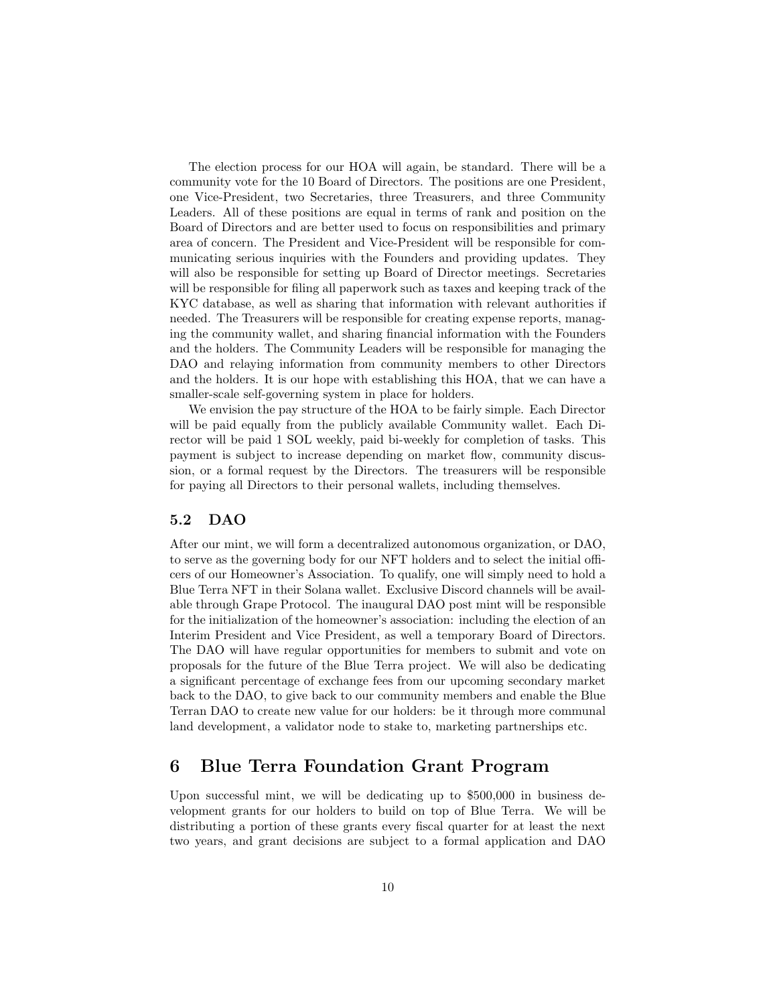The election process for our HOA will again, be standard. There will be a community vote for the 10 Board of Directors. The positions are one President, one Vice-President, two Secretaries, three Treasurers, and three Community Leaders. All of these positions are equal in terms of rank and position on the Board of Directors and are better used to focus on responsibilities and primary area of concern. The President and Vice-President will be responsible for communicating serious inquiries with the Founders and providing updates. They will also be responsible for setting up Board of Director meetings. Secretaries will be responsible for filing all paperwork such as taxes and keeping track of the KYC database, as well as sharing that information with relevant authorities if needed. The Treasurers will be responsible for creating expense reports, managing the community wallet, and sharing financial information with the Founders and the holders. The Community Leaders will be responsible for managing the DAO and relaying information from community members to other Directors and the holders. It is our hope with establishing this HOA, that we can have a smaller-scale self-governing system in place for holders.

We envision the pay structure of the HOA to be fairly simple. Each Director will be paid equally from the publicly available Community wallet. Each Director will be paid 1 SOL weekly, paid bi-weekly for completion of tasks. This payment is subject to increase depending on market flow, community discussion, or a formal request by the Directors. The treasurers will be responsible for paying all Directors to their personal wallets, including themselves.

#### <span id="page-9-0"></span>5.2 DAO

After our mint, we will form a decentralized autonomous organization, or DAO, to serve as the governing body for our NFT holders and to select the initial officers of our Homeowner's Association. To qualify, one will simply need to hold a Blue Terra NFT in their Solana wallet. Exclusive Discord channels will be available through Grape Protocol. The inaugural DAO post mint will be responsible for the initialization of the homeowner's association: including the election of an Interim President and Vice President, as well a temporary Board of Directors. The DAO will have regular opportunities for members to submit and vote on proposals for the future of the Blue Terra project. We will also be dedicating a significant percentage of exchange fees from our upcoming secondary market back to the DAO, to give back to our community members and enable the Blue Terran DAO to create new value for our holders: be it through more communal land development, a validator node to stake to, marketing partnerships etc.

# <span id="page-9-1"></span>6 Blue Terra Foundation Grant Program

Upon successful mint, we will be dedicating up to \$500,000 in business development grants for our holders to build on top of Blue Terra. We will be distributing a portion of these grants every fiscal quarter for at least the next two years, and grant decisions are subject to a formal application and DAO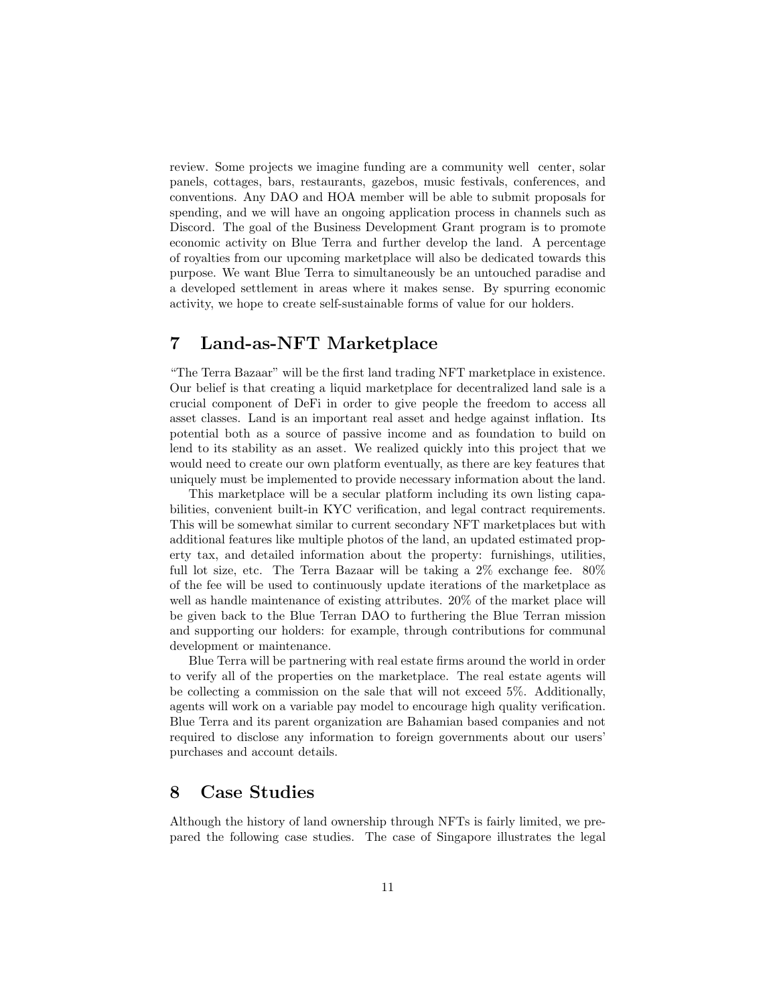review. Some projects we imagine funding are a community well center, solar panels, cottages, bars, restaurants, gazebos, music festivals, conferences, and conventions. Any DAO and HOA member will be able to submit proposals for spending, and we will have an ongoing application process in channels such as Discord. The goal of the Business Development Grant program is to promote economic activity on Blue Terra and further develop the land. A percentage of royalties from our upcoming marketplace will also be dedicated towards this purpose. We want Blue Terra to simultaneously be an untouched paradise and a developed settlement in areas where it makes sense. By spurring economic activity, we hope to create self-sustainable forms of value for our holders.

# <span id="page-10-0"></span>7 Land-as-NFT Marketplace

"The Terra Bazaar" will be the first land trading NFT marketplace in existence. Our belief is that creating a liquid marketplace for decentralized land sale is a crucial component of DeFi in order to give people the freedom to access all asset classes. Land is an important real asset and hedge against inflation. Its potential both as a source of passive income and as foundation to build on lend to its stability as an asset. We realized quickly into this project that we would need to create our own platform eventually, as there are key features that uniquely must be implemented to provide necessary information about the land.

This marketplace will be a secular platform including its own listing capabilities, convenient built-in KYC verification, and legal contract requirements. This will be somewhat similar to current secondary NFT marketplaces but with additional features like multiple photos of the land, an updated estimated property tax, and detailed information about the property: furnishings, utilities, full lot size, etc. The Terra Bazaar will be taking a 2% exchange fee. 80% of the fee will be used to continuously update iterations of the marketplace as well as handle maintenance of existing attributes. 20% of the market place will be given back to the Blue Terran DAO to furthering the Blue Terran mission and supporting our holders: for example, through contributions for communal development or maintenance.

Blue Terra will be partnering with real estate firms around the world in order to verify all of the properties on the marketplace. The real estate agents will be collecting a commission on the sale that will not exceed 5%. Additionally, agents will work on a variable pay model to encourage high quality verification. Blue Terra and its parent organization are Bahamian based companies and not required to disclose any information to foreign governments about our users' purchases and account details.

## <span id="page-10-1"></span>8 Case Studies

Although the history of land ownership through NFTs is fairly limited, we prepared the following case studies. The case of Singapore illustrates the legal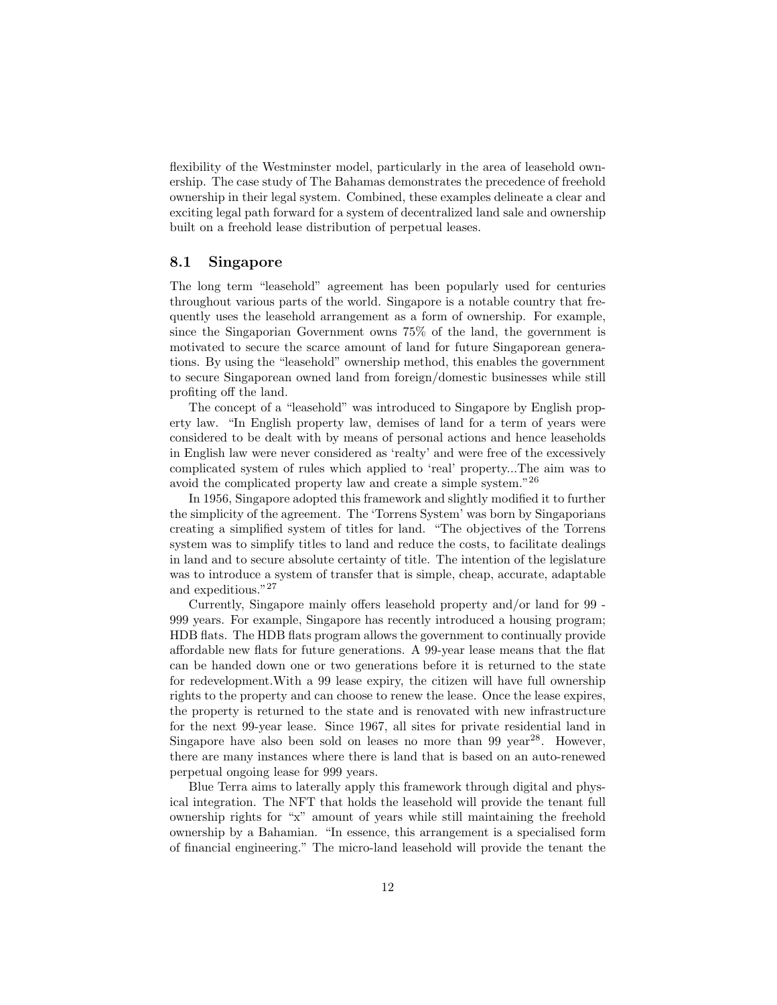flexibility of the Westminster model, particularly in the area of leasehold ownership. The case study of The Bahamas demonstrates the precedence of freehold ownership in their legal system. Combined, these examples delineate a clear and exciting legal path forward for a system of decentralized land sale and ownership built on a freehold lease distribution of perpetual leases.

#### <span id="page-11-0"></span>8.1 Singapore

The long term "leasehold" agreement has been popularly used for centuries throughout various parts of the world. Singapore is a notable country that frequently uses the leasehold arrangement as a form of ownership. For example, since the Singaporian Government owns 75% of the land, the government is motivated to secure the scarce amount of land for future Singaporean generations. By using the "leasehold" ownership method, this enables the government to secure Singaporean owned land from foreign/domestic businesses while still profiting off the land.

The concept of a "leasehold" was introduced to Singapore by English property law. "In English property law, demises of land for a term of years were considered to be dealt with by means of personal actions and hence leaseholds in English law were never considered as 'realty' and were free of the excessively complicated system of rules which applied to 'real' property...The aim was to avoid the complicated property law and create a simple system."<sup>26</sup>

In 1956, Singapore adopted this framework and slightly modified it to further the simplicity of the agreement. The 'Torrens System' was born by Singaporians creating a simplified system of titles for land. "The objectives of the Torrens system was to simplify titles to land and reduce the costs, to facilitate dealings in land and to secure absolute certainty of title. The intention of the legislature was to introduce a system of transfer that is simple, cheap, accurate, adaptable and expeditious."<sup>27</sup>

Currently, Singapore mainly offers leasehold property and/or land for 99 - 999 years. For example, Singapore has recently introduced a housing program; HDB flats. The HDB flats program allows the government to continually provide affordable new flats for future generations. A 99-year lease means that the flat can be handed down one or two generations before it is returned to the state for redevelopment.With a 99 lease expiry, the citizen will have full ownership rights to the property and can choose to renew the lease. Once the lease expires, the property is returned to the state and is renovated with new infrastructure for the next 99-year lease. Since 1967, all sites for private residential land in Singapore have also been sold on leases no more than 99 year<sup>28</sup>. However, there are many instances where there is land that is based on an auto-renewed perpetual ongoing lease for 999 years.

Blue Terra aims to laterally apply this framework through digital and physical integration. The NFT that holds the leasehold will provide the tenant full ownership rights for "x" amount of years while still maintaining the freehold ownership by a Bahamian. "In essence, this arrangement is a specialised form of financial engineering." The micro-land leasehold will provide the tenant the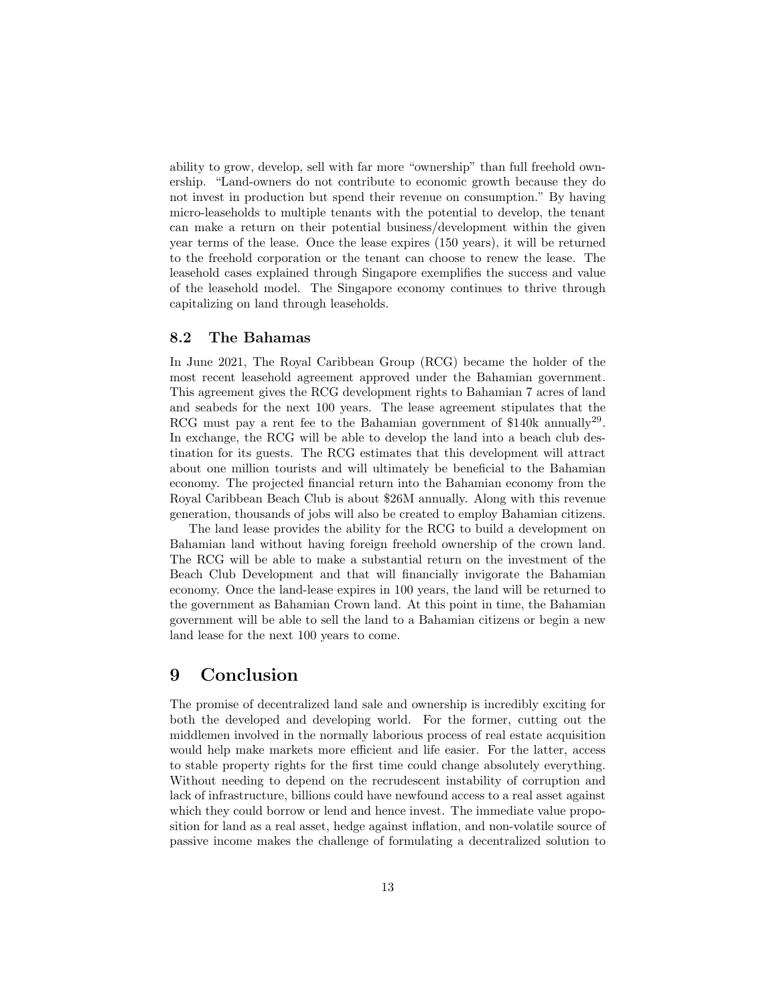ability to grow, develop, sell with far more "ownership" than full freehold ownership. "Land-owners do not contribute to economic growth because they do not invest in production but spend their revenue on consumption." By having micro-leaseholds to multiple tenants with the potential to develop, the tenant can make a return on their potential business/development within the given year terms of the lease. Once the lease expires (150 years), it will be returned to the freehold corporation or the tenant can choose to renew the lease. The leasehold cases explained through Singapore exemplifies the success and value of the leasehold model. The Singapore economy continues to thrive through capitalizing on land through leaseholds.

#### <span id="page-12-0"></span>8.2 The Bahamas

In June 2021, The Royal Caribbean Group (RCG) became the holder of the most recent leasehold agreement approved under the Bahamian government. This agreement gives the RCG development rights to Bahamian 7 acres of land and seabeds for the next 100 years. The lease agreement stipulates that the RCG must pay a rent fee to the Bahamian government of \$140k annually<sup>29</sup>. In exchange, the RCG will be able to develop the land into a beach club destination for its guests. The RCG estimates that this development will attract about one million tourists and will ultimately be beneficial to the Bahamian economy. The projected financial return into the Bahamian economy from the Royal Caribbean Beach Club is about \$26M annually. Along with this revenue generation, thousands of jobs will also be created to employ Bahamian citizens.

The land lease provides the ability for the RCG to build a development on Bahamian land without having foreign freehold ownership of the crown land. The RCG will be able to make a substantial return on the investment of the Beach Club Development and that will financially invigorate the Bahamian economy. Once the land-lease expires in 100 years, the land will be returned to the government as Bahamian Crown land. At this point in time, the Bahamian government will be able to sell the land to a Bahamian citizens or begin a new land lease for the next 100 years to come.

### <span id="page-12-1"></span>9 Conclusion

The promise of decentralized land sale and ownership is incredibly exciting for both the developed and developing world. For the former, cutting out the middlemen involved in the normally laborious process of real estate acquisition would help make markets more efficient and life easier. For the latter, access to stable property rights for the first time could change absolutely everything. Without needing to depend on the recrudescent instability of corruption and lack of infrastructure, billions could have newfound access to a real asset against which they could borrow or lend and hence invest. The immediate value proposition for land as a real asset, hedge against inflation, and non-volatile source of passive income makes the challenge of formulating a decentralized solution to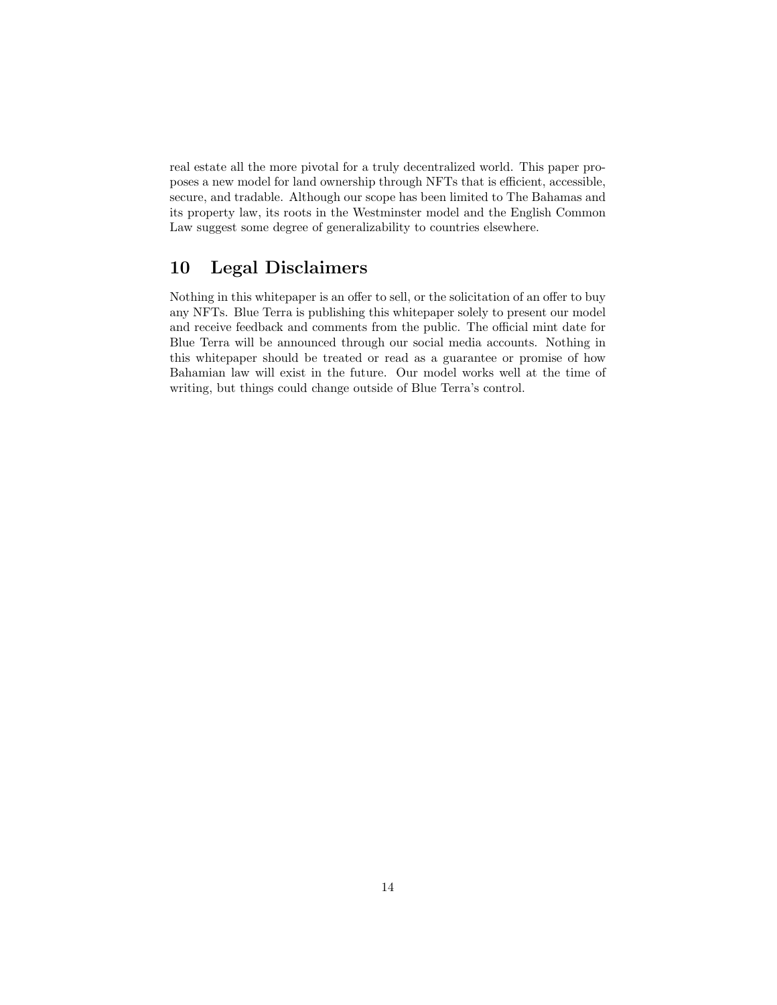real estate all the more pivotal for a truly decentralized world. This paper proposes a new model for land ownership through NFTs that is efficient, accessible, secure, and tradable. Although our scope has been limited to The Bahamas and its property law, its roots in the Westminster model and the English Common Law suggest some degree of generalizability to countries elsewhere.

# <span id="page-13-0"></span>10 Legal Disclaimers

Nothing in this whitepaper is an offer to sell, or the solicitation of an offer to buy any NFTs. Blue Terra is publishing this whitepaper solely to present our model and receive feedback and comments from the public. The official mint date for Blue Terra will be announced through our social media accounts. Nothing in this whitepaper should be treated or read as a guarantee or promise of how Bahamian law will exist in the future. Our model works well at the time of writing, but things could change outside of Blue Terra's control.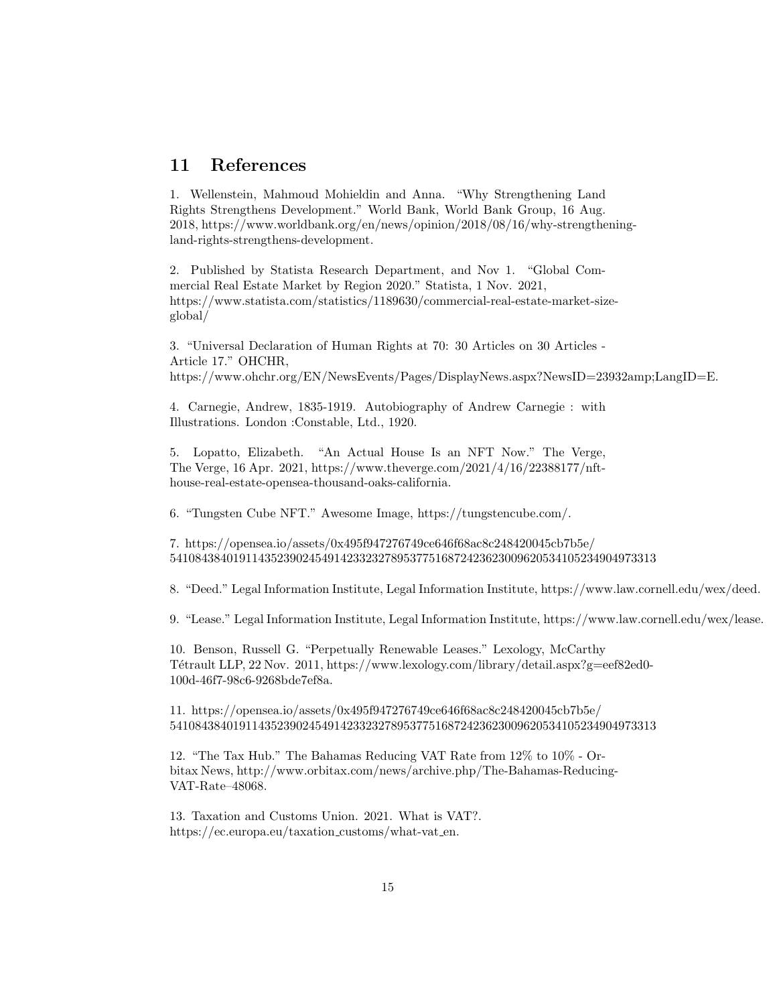### <span id="page-14-0"></span>11 References

1. Wellenstein, Mahmoud Mohieldin and Anna. "Why Strengthening Land Rights Strengthens Development." World Bank, World Bank Group, 16 Aug. 2018, https://www.worldbank.org/en/news/opinion/2018/08/16/why-strengtheningland-rights-strengthens-development.

2. Published by Statista Research Department, and Nov 1. "Global Commercial Real Estate Market by Region 2020." Statista, 1 Nov. 2021, https://www.statista.com/statistics/1189630/commercial-real-estate-market-sizeglobal/

3. "Universal Declaration of Human Rights at 70: 30 Articles on 30 Articles - Article 17." OHCHR, https://www.ohchr.org/EN/NewsEvents/Pages/DisplayNews.aspx?NewsID=23932amp;LangID=E.

4. Carnegie, Andrew, 1835-1919. Autobiography of Andrew Carnegie : with Illustrations. London :Constable, Ltd., 1920.

5. Lopatto, Elizabeth. "An Actual House Is an NFT Now." The Verge, The Verge, 16 Apr. 2021, https://www.theverge.com/2021/4/16/22388177/nfthouse-real-estate-opensea-thousand-oaks-california.

6. "Tungsten Cube NFT." Awesome Image, https://tungstencube.com/.

7. https://opensea.io/assets/0x495f947276749ce646f68ac8c248420045cb7b5e/ 54108438401911435239024549142332327895377516872423623009620534105234904973313

8. "Deed." Legal Information Institute, Legal Information Institute, https://www.law.cornell.edu/wex/deed.

9. "Lease." Legal Information Institute, Legal Information Institute, https://www.law.cornell.edu/wex/lease.

10. Benson, Russell G. "Perpetually Renewable Leases." Lexology, McCarthy Tétrault LLP, 22 Nov. 2011, https://www.lexology.com/library/detail.aspx?g=eef82ed0-100d-46f7-98c6-9268bde7ef8a.

11. https://opensea.io/assets/0x495f947276749ce646f68ac8c248420045cb7b5e/ 54108438401911435239024549142332327895377516872423623009620534105234904973313

12. "The Tax Hub." The Bahamas Reducing VAT Rate from 12% to 10% - Orbitax News, http://www.orbitax.com/news/archive.php/The-Bahamas-Reducing-VAT-Rate–48068.

13. Taxation and Customs Union. 2021. What is VAT?. https://ec.europa.eu/taxation\_customs/what-vat\_en.